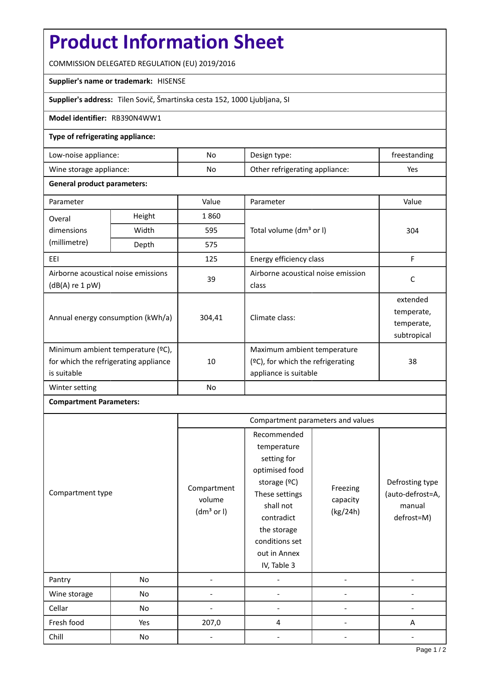# **Product Information Sheet**

COMMISSION DELEGATED REGULATION (EU) 2019/2016

### **Supplier's name or trademark:** HISENSE

**Supplier's address:** Tilen Sovič, Šmartinska cesta 152, 1000 Ljubljana, SI

## **Model identifier:** RB390N4WW1

## **Type of refrigerating appliance:**

| Low-noise appliance:    | No  | Design type:                   | treestanding |
|-------------------------|-----|--------------------------------|--------------|
| Wine storage appliance: | No. | Other refrigerating appliance: | Yes          |

### **General product parameters:**

| Parameter                                                                                 |                | Value          | Parameter                                                                                    | Value                                               |  |
|-------------------------------------------------------------------------------------------|----------------|----------------|----------------------------------------------------------------------------------------------|-----------------------------------------------------|--|
| Overal                                                                                    | Height<br>1860 |                |                                                                                              |                                                     |  |
| dimensions                                                                                | Width          | 595            | Total volume (dm <sup>3</sup> or I)                                                          | 304                                                 |  |
| (millimetre)                                                                              | Depth          | 575            |                                                                                              |                                                     |  |
| EEI                                                                                       |                | 125            | Energy efficiency class                                                                      | F                                                   |  |
| Airborne acoustical noise emissions<br>(dB(A) re 1 pW)                                    |                | 39             | Airborne acoustical noise emission<br>class                                                  | C                                                   |  |
| Annual energy consumption (kWh/a)                                                         |                | 304,41         | Climate class:                                                                               | extended<br>temperate,<br>temperate,<br>subtropical |  |
| Minimum ambient temperature (°C),<br>for which the refrigerating appliance<br>is suitable |                | 10             | Maximum ambient temperature<br>$(°C)$ , for which the refrigerating<br>appliance is suitable | 38                                                  |  |
| Winter setting                                                                            |                | N <sub>o</sub> |                                                                                              |                                                     |  |

# **Compartment Parameters:**

|                  |     | Compartment parameters and values               |                                                                                                                                                                                          |                                  |                                                             |
|------------------|-----|-------------------------------------------------|------------------------------------------------------------------------------------------------------------------------------------------------------------------------------------------|----------------------------------|-------------------------------------------------------------|
| Compartment type |     | Compartment<br>volume<br>(dm <sup>3</sup> or I) | Recommended<br>temperature<br>setting for<br>optimised food<br>storage (°C)<br>These settings<br>shall not<br>contradict<br>the storage<br>conditions set<br>out in Annex<br>IV, Table 3 | Freezing<br>capacity<br>(kg/24h) | Defrosting type<br>(auto-defrost=A,<br>manual<br>defrost=M) |
| Pantry           | No  |                                                 |                                                                                                                                                                                          |                                  |                                                             |
| Wine storage     | No  |                                                 |                                                                                                                                                                                          |                                  |                                                             |
| Cellar           | No  |                                                 |                                                                                                                                                                                          |                                  |                                                             |
| Fresh food       | Yes | 207,0                                           | 4                                                                                                                                                                                        |                                  | A                                                           |
| Chill            | No  |                                                 |                                                                                                                                                                                          |                                  |                                                             |